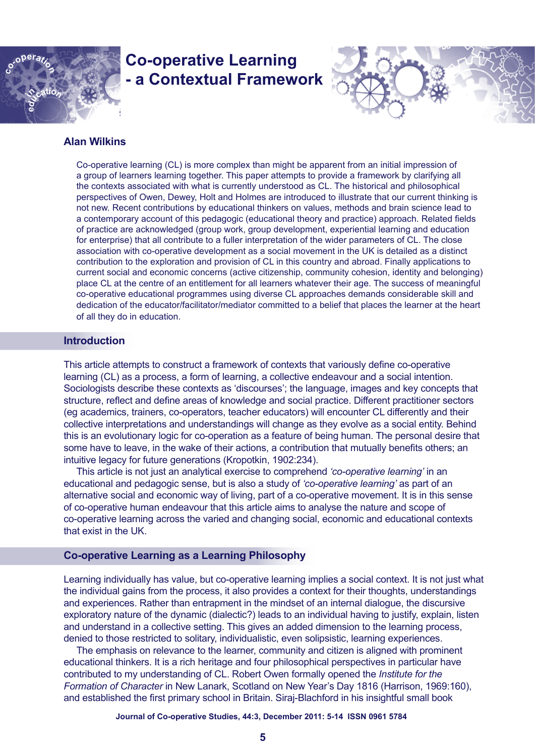

# **Co-operative Learning - a Contextual Framework**



# **Alan Wilkins**

Co-operative learning (CL) is more complex than might be apparent from an initial impression of a group of learners learning together. This paper attempts to provide a framework by clarifying all the contexts associated with what is currently understood as CL. The historical and philosophical perspectives of Owen, Dewey, Holt and Holmes are introduced to illustrate that our current thinking is not new. Recent contributions by educational thinkers on values, methods and brain science lead to a contemporary account of this pedagogic (educational theory and practice) approach. Related fields of practice are acknowledged (group work, group development, experiential learning and education for enterprise) that all contribute to a fuller interpretation of the wider parameters of CL. The close association with co-operative development as a social movement in the UK is detailed as a distinct contribution to the exploration and provision of CL in this country and abroad. Finally applications to current social and economic concerns (active citizenship, community cohesion, identity and belonging) place CL at the centre of an entitlement for all learners whatever their age. The success of meaningful co-operative educational programmes using diverse CL approaches demands considerable skill and dedication of the educator/facilitator/mediator committed to a belief that places the learner at the heart of all they do in education.

## **Introduction**

This article attempts to construct a framework of contexts that variously define co-operative learning (CL) as a process, a form of learning, a collective endeavour and a social intention. Sociologists describe these contexts as 'discourses'; the language, images and key concepts that structure, reflect and define areas of knowledge and social practice. Different practitioner sectors (eg academics, trainers, co-operators, teacher educators) will encounter CL differently and their collective interpretations and understandings will change as they evolve as a social entity. Behind this is an evolutionary logic for co-operation as a feature of being human. The personal desire that some have to leave, in the wake of their actions, a contribution that mutually benefits others; an intuitive legacy for future generations (Kropotkin, 1902:234).

This article is not just an analytical exercise to comprehend *'co-operative learning'* in an educational and pedagogic sense, but is also a study of *'co-operative learning'* as part of an alternative social and economic way of living, part of a co-operative movement. It is in this sense of co-operative human endeavour that this article aims to analyse the nature and scope of co-operative learning across the varied and changing social, economic and educational contexts that exist in the UK.

## **Co-operative Learning as a Learning Philosophy**

Learning individually has value, but co-operative learning implies a social context. It is not just what the individual gains from the process, it also provides a context for their thoughts, understandings and experiences. Rather than entrapment in the mindset of an internal dialogue, the discursive exploratory nature of the dynamic (dialectic?) leads to an individual having to justify, explain, listen and understand in a collective setting. This gives an added dimension to the learning process, denied to those restricted to solitary, individualistic, even solipsistic, learning experiences.

The emphasis on relevance to the learner, community and citizen is aligned with prominent educational thinkers. It is a rich heritage and four philosophical perspectives in particular have contributed to my understanding of CL. Robert Owen formally opened the *Institute for the Formation of Character* in New Lanark, Scotland on New Year's Day 1816 (Harrison, 1969:160), and established the first primary school in Britain. Siraj-Blachford in his insightful small book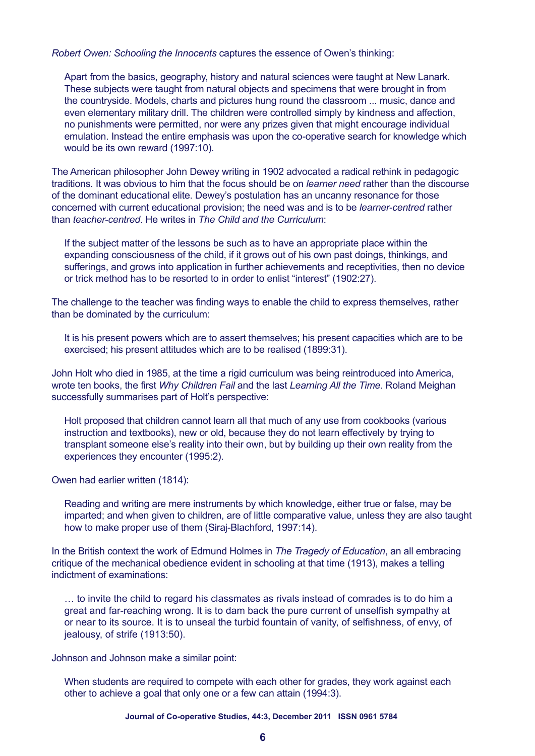*Robert Owen: Schooling the Innocents* captures the essence of Owen's thinking:

Apart from the basics, geography, history and natural sciences were taught at New Lanark. These subjects were taught from natural objects and specimens that were brought in from the countryside. Models, charts and pictures hung round the classroom ... music, dance and even elementary military drill. The children were controlled simply by kindness and affection, no punishments were permitted, nor were any prizes given that might encourage individual emulation. Instead the entire emphasis was upon the co-operative search for knowledge which would be its own reward (1997:10).

The American philosopher John Dewey writing in 1902 advocated a radical rethink in pedagogic traditions. It was obvious to him that the focus should be on *learner need* rather than the discourse of the dominant educational elite. Dewey's postulation has an uncanny resonance for those concerned with current educational provision; the need was and is to be *learner-centred* rather than *teacher-centred*. He writes in *The Child and the Curriculum*:

If the subject matter of the lessons be such as to have an appropriate place within the expanding consciousness of the child, if it grows out of his own past doings, thinkings, and sufferings, and grows into application in further achievements and receptivities, then no device or trick method has to be resorted to in order to enlist "interest" (1902:27).

The challenge to the teacher was finding ways to enable the child to express themselves, rather than be dominated by the curriculum:

It is his present powers which are to assert themselves; his present capacities which are to be exercised; his present attitudes which are to be realised (1899:31).

John Holt who died in 1985, at the time a rigid curriculum was being reintroduced into America, wrote ten books, the first *Why Children Fail* and the last *Learning All the Time*. Roland Meighan successfully summarises part of Holt's perspective:

Holt proposed that children cannot learn all that much of any use from cookbooks (various instruction and textbooks), new or old, because they do not learn effectively by trying to transplant someone else's reality into their own, but by building up their own reality from the experiences they encounter (1995:2).

Owen had earlier written (1814):

Reading and writing are mere instruments by which knowledge, either true or false, may be imparted; and when given to children, are of little comparative value, unless they are also taught how to make proper use of them (Siraj-Blachford, 1997:14).

In the British context the work of Edmund Holmes in *The Tragedy of Education*, an all embracing critique of the mechanical obedience evident in schooling at that time (1913), makes a telling indictment of examinations:

… to invite the child to regard his classmates as rivals instead of comrades is to do him a great and far-reaching wrong. It is to dam back the pure current of unselfish sympathy at or near to its source. It is to unseal the turbid fountain of vanity, of selfishness, of envy, of jealousy, of strife (1913:50).

Johnson and Johnson make a similar point:

When students are required to compete with each other for grades, they work against each other to achieve a goal that only one or a few can attain (1994:3).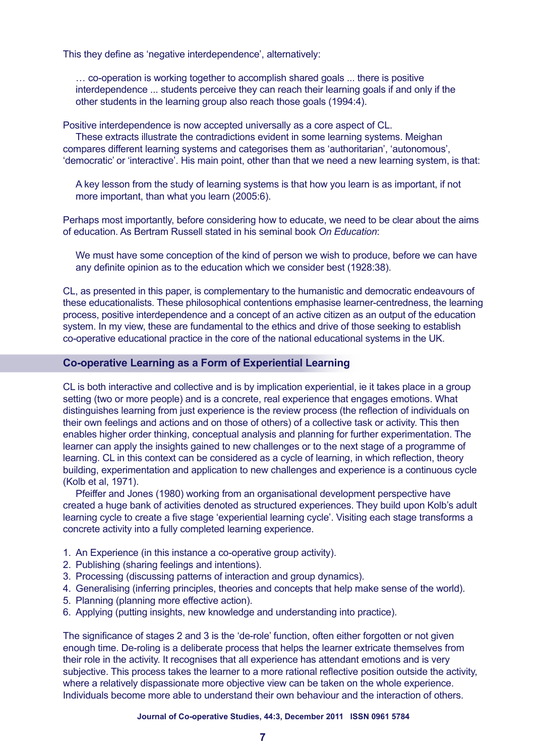This they define as 'negative interdependence', alternatively:

… co-operation is working together to accomplish shared goals ... there is positive interdependence ... students perceive they can reach their learning goals if and only if the other students in the learning group also reach those goals (1994:4).

Positive interdependence is now accepted universally as a core aspect of CL.

These extracts illustrate the contradictions evident in some learning systems. Meighan compares different learning systems and categorises them as 'authoritarian', 'autonomous', 'democratic' or 'interactive'. His main point, other than that we need a new learning system, is that:

A key lesson from the study of learning systems is that how you learn is as important, if not more important, than what you learn (2005:6).

Perhaps most importantly, before considering how to educate, we need to be clear about the aims of education. As Bertram Russell stated in his seminal book *On Education*:

We must have some conception of the kind of person we wish to produce, before we can have any definite opinion as to the education which we consider best (1928:38).

CL, as presented in this paper, is complementary to the humanistic and democratic endeavours of these educationalists. These philosophical contentions emphasise learner-centredness, the learning process, positive interdependence and a concept of an active citizen as an output of the education system. In my view, these are fundamental to the ethics and drive of those seeking to establish co-operative educational practice in the core of the national educational systems in the UK.

## **Co-operative Learning as a Form of Experiential Learning**

CL is both interactive and collective and is by implication experiential, ie it takes place in a group setting (two or more people) and is a concrete, real experience that engages emotions. What distinguishes learning from just experience is the review process (the reflection of individuals on their own feelings and actions and on those of others) of a collective task or activity. This then enables higher order thinking, conceptual analysis and planning for further experimentation. The learner can apply the insights gained to new challenges or to the next stage of a programme of learning. CL in this context can be considered as a cycle of learning, in which reflection, theory building, experimentation and application to new challenges and experience is a continuous cycle (Kolb et al, 1971).

Pfeiffer and Jones (1980) working from an organisational development perspective have created a huge bank of activities denoted as structured experiences. They build upon Kolb's adult learning cycle to create a five stage 'experiential learning cycle'. Visiting each stage transforms a concrete activity into a fully completed learning experience.

- 1. An Experience (in this instance a co-operative group activity).
- 2. Publishing (sharing feelings and intentions).
- 3. Processing (discussing patterns of interaction and group dynamics).
- 4. Generalising (inferring principles, theories and concepts that help make sense of the world).
- 5. Planning (planning more effective action).
- 6. Applying (putting insights, new knowledge and understanding into practice).

The significance of stages 2 and 3 is the 'de-role' function, often either forgotten or not given enough time. De-roling is a deliberate process that helps the learner extricate themselves from their role in the activity. It recognises that all experience has attendant emotions and is very subjective. This process takes the learner to a more rational reflective position outside the activity, where a relatively dispassionate more objective view can be taken on the whole experience. Individuals become more able to understand their own behaviour and the interaction of others.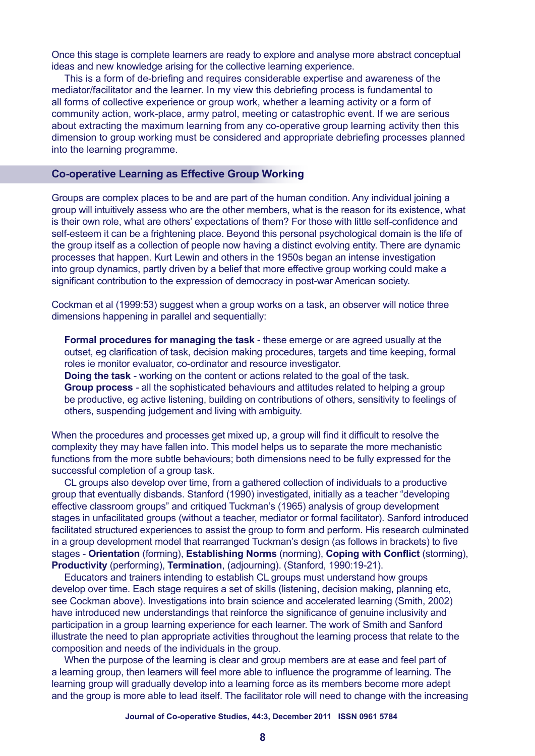Once this stage is complete learners are ready to explore and analyse more abstract conceptual ideas and new knowledge arising for the collective learning experience.

This is a form of de-briefing and requires considerable expertise and awareness of the mediator/facilitator and the learner. In my view this debriefing process is fundamental to all forms of collective experience or group work, whether a learning activity or a form of community action, work-place, army patrol, meeting or catastrophic event. If we are serious about extracting the maximum learning from any co-operative group learning activity then this dimension to group working must be considered and appropriate debriefing processes planned into the learning programme.

## **Co-operative Learning as Effective Group Working**

Groups are complex places to be and are part of the human condition. Any individual joining a group will intuitively assess who are the other members, what is the reason for its existence, what is their own role, what are others' expectations of them? For those with little self-confidence and self-esteem it can be a frightening place. Beyond this personal psychological domain is the life of the group itself as a collection of people now having a distinct evolving entity. There are dynamic processes that happen. Kurt Lewin and others in the 1950s began an intense investigation into group dynamics, partly driven by a belief that more effective group working could make a significant contribution to the expression of democracy in post-war American society.

Cockman et al (1999:53) suggest when a group works on a task, an observer will notice three dimensions happening in parallel and sequentially:

**Formal procedures for managing the task** - these emerge or are agreed usually at the outset, eg clarification of task, decision making procedures, targets and time keeping, formal roles ie monitor evaluator, co-ordinator and resource investigator.

**Doing the task** *-* working on the content or actions related to the goal of the task. **Group process** *-* all the sophisticated behaviours and attitudes related to helping a group be productive, eg active listening, building on contributions of others, sensitivity to feelings of others, suspending judgement and living with ambiguity.

When the procedures and processes get mixed up, a group will find it difficult to resolve the complexity they may have fallen into. This model helps us to separate the more mechanistic functions from the more subtle behaviours; both dimensions need to be fully expressed for the successful completion of a group task.

CL groups also develop over time, from a gathered collection of individuals to a productive group that eventually disbands. Stanford (1990) investigated, initially as a teacher "developing effective classroom groups" and critiqued Tuckman's (1965) analysis of group development stages in unfacilitated groups (without a teacher, mediator or formal facilitator). Sanford introduced facilitated structured experiences to assist the group to form and perform. His research culminated in a group development model that rearranged Tuckman's design (as follows in brackets) to five stages - **Orientation** (forming), **Establishing Norms** (norming), **Coping with Conflict** (storming), **Productivity** (performing), **Termination**, (adjourning). (Stanford, 1990:19-21).

Educators and trainers intending to establish CL groups must understand how groups develop over time. Each stage requires a set of skills (listening, decision making, planning etc, see Cockman above). Investigations into brain science and accelerated learning (Smith, 2002) have introduced new understandings that reinforce the significance of genuine inclusivity and participation in a group learning experience for each learner. The work of Smith and Sanford illustrate the need to plan appropriate activities throughout the learning process that relate to the composition and needs of the individuals in the group.

When the purpose of the learning is clear and group members are at ease and feel part of a learning group, then learners will feel more able to influence the programme of learning. The learning group will gradually develop into a learning force as its members become more adept and the group is more able to lead itself. The facilitator role will need to change with the increasing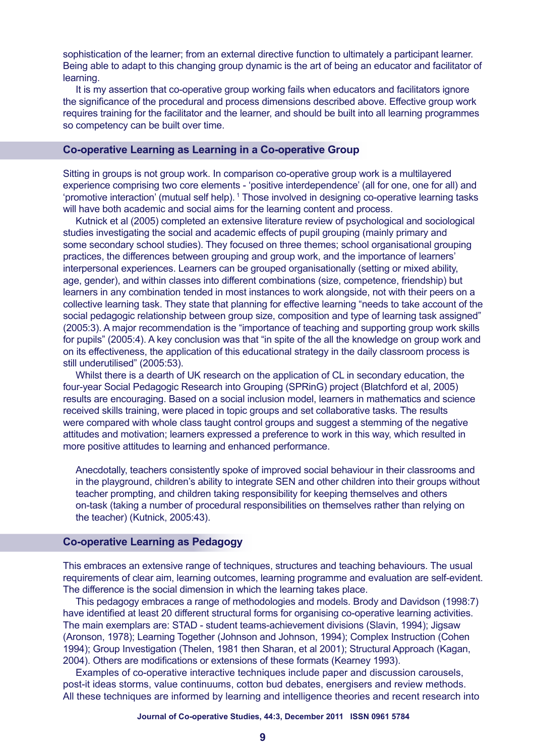sophistication of the learner; from an external directive function to ultimately a participant learner. Being able to adapt to this changing group dynamic is the art of being an educator and facilitator of learning.

It is my assertion that co-operative group working fails when educators and facilitators ignore the significance of the procedural and process dimensions described above. Effective group work requires training for the facilitator and the learner, and should be built into all learning programmes so competency can be built over time.

## **Co-operative Learning as Learning in a Co-operative Group**

Sitting in groups is not group work. In comparison co-operative group work is a multilayered experience comprising two core elements - 'positive interdependence' (all for one, one for all) and 'promotive interaction' (mutual self help). 1 Those involved in designing co-operative learning tasks will have both academic and social aims for the learning content and process.

Kutnick et al (2005) completed an extensive literature review of psychological and sociological studies investigating the social and academic effects of pupil grouping (mainly primary and some secondary school studies). They focused on three themes; school organisational grouping practices, the differences between grouping and group work, and the importance of learners' interpersonal experiences. Learners can be grouped organisationally (setting or mixed ability, age, gender), and within classes into different combinations (size, competence, friendship) but learners in any combination tended in most instances to work alongside, not with their peers on a collective learning task. They state that planning for effective learning "needs to take account of the social pedagogic relationship between group size, composition and type of learning task assigned" (2005:3). A major recommendation is the "importance of teaching and supporting group work skills for pupils" (2005:4). A key conclusion was that "in spite of the all the knowledge on group work and on its effectiveness, the application of this educational strategy in the daily classroom process is still underutilised" (2005:53).

Whilst there is a dearth of UK research on the application of CL in secondary education, the four-year Social Pedagogic Research into Grouping (SPRinG) project (Blatchford et al, 2005) results are encouraging. Based on a social inclusion model, learners in mathematics and science received skills training, were placed in topic groups and set collaborative tasks. The results were compared with whole class taught control groups and suggest a stemming of the negative attitudes and motivation; learners expressed a preference to work in this way, which resulted in more positive attitudes to learning and enhanced performance.

Anecdotally, teachers consistently spoke of improved social behaviour in their classrooms and in the playground, children's ability to integrate SEN and other children into their groups without teacher prompting, and children taking responsibility for keeping themselves and others on-task (taking a number of procedural responsibilities on themselves rather than relying on the teacher) (Kutnick, 2005:43).

## **Co-operative Learning as Pedagogy**

This embraces an extensive range of techniques, structures and teaching behaviours. The usual requirements of clear aim, learning outcomes, learning programme and evaluation are self-evident. The difference is the social dimension in which the learning takes place.

This pedagogy embraces a range of methodologies and models. Brody and Davidson (1998:7) have identified at least 20 different structural forms for organising co-operative learning activities. The main exemplars are: STAD - student teams-achievement divisions (Slavin, 1994); Jigsaw (Aronson, 1978); Learning Together (Johnson and Johnson, 1994); Complex Instruction (Cohen 1994); Group Investigation (Thelen, 1981 then Sharan, et al 2001); Structural Approach (Kagan, 2004). Others are modifications or extensions of these formats (Kearney 1993).

Examples of co-operative interactive techniques include paper and discussion carousels, post-it ideas storms, value continuums, cotton bud debates, energisers and review methods. All these techniques are informed by learning and intelligence theories and recent research into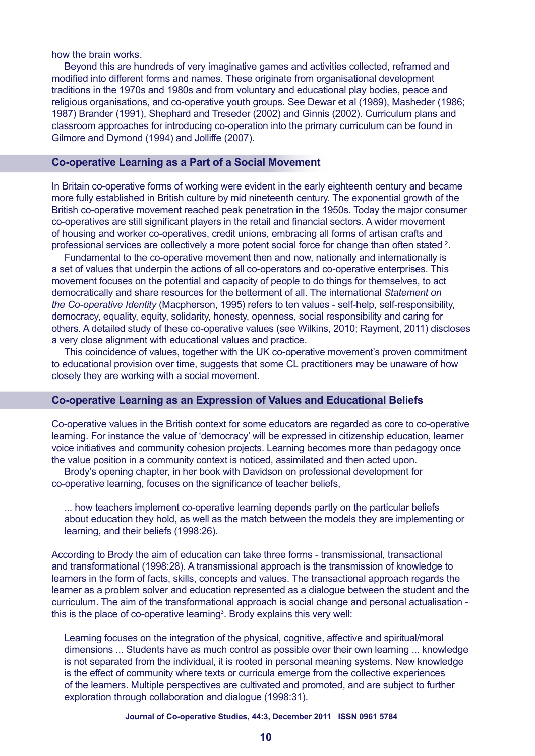how the brain works.

Beyond this are hundreds of very imaginative games and activities collected, reframed and modified into different forms and names. These originate from organisational development traditions in the 1970s and 1980s and from voluntary and educational play bodies, peace and religious organisations, and co-operative youth groups. See Dewar et al (1989), Masheder (1986; 1987) Brander (1991), Shephard and Treseder (2002) and Ginnis (2002). Curriculum plans and classroom approaches for introducing co-operation into the primary curriculum can be found in Gilmore and Dymond (1994) and Jolliffe (2007).

## **Co-operative Learning as a Part of a Social Movement**

In Britain co-operative forms of working were evident in the early eighteenth century and became more fully established in British culture by mid nineteenth century. The exponential growth of the British co-operative movement reached peak penetration in the 1950s. Today the major consumer co-operatives are still significant players in the retail and financial sectors. A wider movement of housing and worker co-operatives, credit unions, embracing all forms of artisan crafts and professional services are collectively a more potent social force for change than often stated <sup>2</sup>.

Fundamental to the co-operative movement then and now, nationally and internationally is a set of values that underpin the actions of all co-operators and co-operative enterprises. This movement focuses on the potential and capacity of people to do things for themselves, to act democratically and share resources for the betterment of all. The international *Statement on the Co-operative Identity* (Macpherson, 1995) refers to ten values - self-help, self-responsibility, democracy, equality, equity, solidarity, honesty, openness, social responsibility and caring for others. A detailed study of these co-operative values (see Wilkins, 2010; Rayment, 2011) discloses a very close alignment with educational values and practice.

This coincidence of values, together with the UK co-operative movement's proven commitment to educational provision over time, suggests that some CL practitioners may be unaware of how closely they are working with a social movement.

## **Co-operative Learning as an Expression of Values and Educational Beliefs**

Co-operative values in the British context for some educators are regarded as core to co-operative learning. For instance the value of 'democracy' will be expressed in citizenship education, learner voice initiatives and community cohesion projects. Learning becomes more than pedagogy once the value position in a community context is noticed, assimilated and then acted upon.

Brody's opening chapter, in her book with Davidson on professional development for co-operative learning, focuses on the significance of teacher beliefs,

... how teachers implement co-operative learning depends partly on the particular beliefs about education they hold, as well as the match between the models they are implementing or learning, and their beliefs (1998:26).

According to Brody the aim of education can take three forms - transmissional, transactional and transformational (1998:28). A transmissional approach is the transmission of knowledge to learners in the form of facts, skills, concepts and values. The transactional approach regards the learner as a problem solver and education represented as a dialogue between the student and the curriculum. The aim of the transformational approach is social change and personal actualisation this is the place of co-operative learning<sup>3</sup>. Brody explains this very well:

Learning focuses on the integration of the physical, cognitive, affective and spiritual/moral dimensions ... Students have as much control as possible over their own learning ... knowledge is not separated from the individual, it is rooted in personal meaning systems. New knowledge is the effect of community where texts or curricula emerge from the collective experiences of the learners. Multiple perspectives are cultivated and promoted, and are subject to further exploration through collaboration and dialogue (1998:31).

#### **Journal of Co-operative Studies, 44:3, December 2011 ISSN 0961 5784**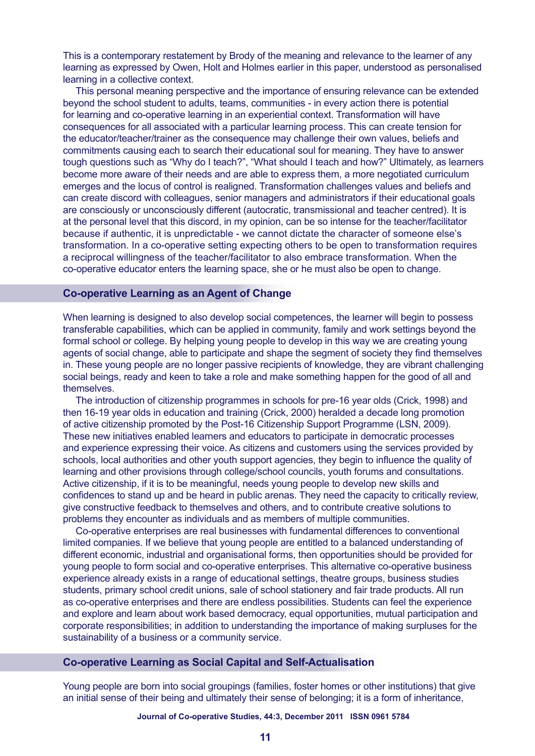This is a contemporary restatement by Brody of the meaning and relevance to the learner of any learning as expressed by Owen, Holt and Holmes earlier in this paper, understood as personalised learning in a collective context.

This personal meaning perspective and the importance of ensuring relevance can be extended beyond the school student to adults, teams, communities - in every action there is potential for learning and co-operative learning in an experiential context. Transformation will have consequences for all associated with a particular learning process. This can create tension for the educator/teacher/trainer as the consequence may challenge their own values, beliefs and commitments causing each to search their educational soul for meaning. They have to answer tough questions such as "Why do I teach?", "What should I teach and how?" Ultimately, as learners become more aware of their needs and are able to express them, a more negotiated curriculum emerges and the locus of control is realigned. Transformation challenges values and beliefs and can create discord with colleagues, senior managers and administrators if their educational goals are consciously or unconsciously different (autocratic, transmissional and teacher centred). It is at the personal level that this discord, in my opinion, can be so intense for the teacher/facilitator because if authentic, it is unpredictable - we cannot dictate the character of someone else's transformation. In a co-operative setting expecting others to be open to transformation requires a reciprocal willingness of the teacher/facilitator to also embrace transformation. When the co-operative educator enters the learning space, she or he must also be open to change.

## **Co-operative Learning as an Agent of Change**

When learning is designed to also develop social competences, the learner will begin to possess transferable capabilities, which can be applied in community, family and work settings beyond the formal school or college. By helping young people to develop in this way we are creating young agents of social change, able to participate and shape the segment of society they find themselves in. These young people are no longer passive recipients of knowledge, they are vibrant challenging social beings, ready and keen to take a role and make something happen for the good of all and themselves.

The introduction of citizenship programmes in schools for pre-16 year olds (Crick, 1998) and then 16-19 year olds in education and training (Crick, 2000) heralded a decade long promotion of active citizenship promoted by the Post-16 Citizenship Support Programme (LSN, 2009). These new initiatives enabled learners and educators to participate in democratic processes and experience expressing their voice. As citizens and customers using the services provided by schools, local authorities and other youth support agencies, they begin to influence the quality of learning and other provisions through college/school councils, youth forums and consultations. Active citizenship, if it is to be meaningful, needs young people to develop new skills and confidences to stand up and be heard in public arenas. They need the capacity to critically review, give constructive feedback to themselves and others, and to contribute creative solutions to problems they encounter as individuals and as members of multiple communities.

Co-operative enterprises are real businesses with fundamental differences to conventional limited companies. If we believe that young people are entitled to a balanced understanding of different economic, industrial and organisational forms, then opportunities should be provided for young people to form social and co-operative enterprises. This alternative co-operative business experience already exists in a range of educational settings, theatre groups, business studies students, primary school credit unions, sale of school stationery and fair trade products. All run as co-operative enterprises and there are endless possibilities. Students can feel the experience and explore and learn about work based democracy, equal opportunities, mutual participation and corporate responsibilities; in addition to understanding the importance of making surpluses for the sustainability of a business or a community service.

#### **Co-operative Learning as Social Capital and Self-Actualisation**

Young people are born into social groupings (families, foster homes or other institutions) that give an initial sense of their being and ultimately their sense of belonging; it is a form of inheritance,

**Journal of Co-operative Studies, 44:3, December 2011 ISSN 0961 5784**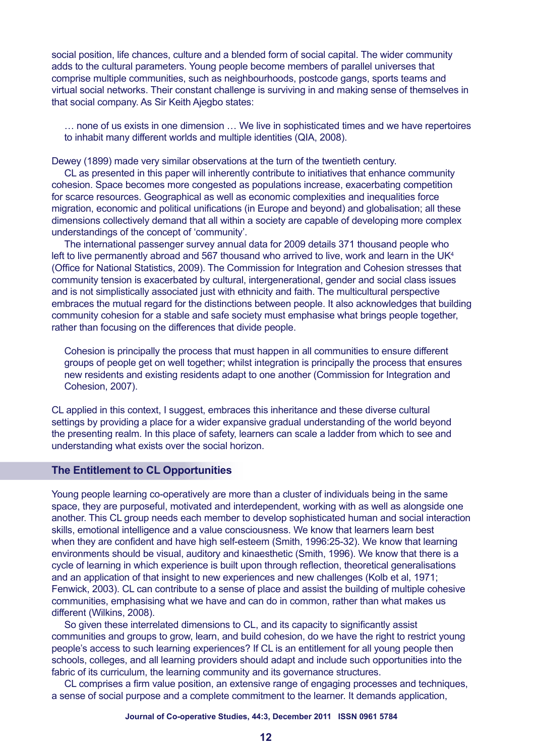social position, life chances, culture and a blended form of social capital. The wider community adds to the cultural parameters. Young people become members of parallel universes that comprise multiple communities, such as neighbourhoods, postcode gangs, sports teams and virtual social networks. Their constant challenge is surviving in and making sense of themselves in that social company. As Sir Keith Ajegbo states:

… none of us exists in one dimension … We live in sophisticated times and we have repertoires to inhabit many different worlds and multiple identities (QIA, 2008).

Dewey (1899) made very similar observations at the turn of the twentieth century.

CL as presented in this paper will inherently contribute to initiatives that enhance community cohesion. Space becomes more congested as populations increase, exacerbating competition for scarce resources. Geographical as well as economic complexities and inequalities force migration, economic and political unifications (in Europe and beyond) and globalisation; all these dimensions collectively demand that all within a society are capable of developing more complex understandings of the concept of 'community'.

The international passenger survey annual data for 2009 details 371 thousand people who left to live permanently abroad and 567 thousand who arrived to live, work and learn in the UK<sup>4</sup> (Office for National Statistics, 2009). The Commission for Integration and Cohesion stresses that community tension is exacerbated by cultural, intergenerational, gender and social class issues and is not simplistically associated just with ethnicity and faith. The multicultural perspective embraces the mutual regard for the distinctions between people. It also acknowledges that building community cohesion for a stable and safe society must emphasise what brings people together, rather than focusing on the differences that divide people.

Cohesion is principally the process that must happen in all communities to ensure different groups of people get on well together; whilst integration is principally the process that ensures new residents and existing residents adapt to one another (Commission for Integration and Cohesion, 2007).

CL applied in this context, I suggest, embraces this inheritance and these diverse cultural settings by providing a place for a wider expansive gradual understanding of the world beyond the presenting realm. In this place of safety, learners can scale a ladder from which to see and understanding what exists over the social horizon.

## **The Entitlement to CL Opportunities**

Young people learning co-operatively are more than a cluster of individuals being in the same space, they are purposeful, motivated and interdependent, working with as well as alongside one another. This CL group needs each member to develop sophisticated human and social interaction skills, emotional intelligence and a value consciousness. We know that learners learn best when they are confident and have high self-esteem (Smith, 1996:25-32). We know that learning environments should be visual, auditory and kinaesthetic (Smith, 1996). We know that there is a cycle of learning in which experience is built upon through reflection, theoretical generalisations and an application of that insight to new experiences and new challenges (Kolb et al, 1971; Fenwick, 2003). CL can contribute to a sense of place and assist the building of multiple cohesive communities, emphasising what we have and can do in common, rather than what makes us different (Wilkins, 2008).

So given these interrelated dimensions to CL, and its capacity to significantly assist communities and groups to grow, learn, and build cohesion, do we have the right to restrict young people's access to such learning experiences? If CL is an entitlement for all young people then schools, colleges, and all learning providers should adapt and include such opportunities into the fabric of its curriculum, the learning community and its governance structures.

CL comprises a firm value position, an extensive range of engaging processes and techniques, a sense of social purpose and a complete commitment to the learner. It demands application,

#### **Journal of Co-operative Studies, 44:3, December 2011 ISSN 0961 5784**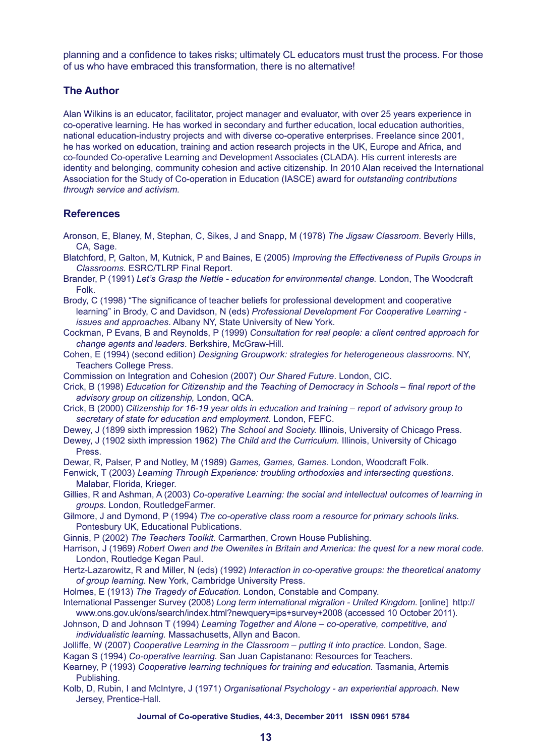planning and a confidence to takes risks; ultimately CL educators must trust the process. For those of us who have embraced this transformation, there is no alternative!

## **The Author**

Alan Wilkins is an educator, facilitator, project manager and evaluator, with over 25 years experience in co-operative learning. He has worked in secondary and further education, local education authorities, national education-industry projects and with diverse co-operative enterprises. Freelance since 2001, he has worked on education, training and action research projects in the UK, Europe and Africa, and co-founded Co-operative Learning and Development Associates (CLADA). His current interests are identity and belonging, community cohesion and active citizenship. In 2010 Alan received the International Association for the Study of Co-operation in Education (IASCE) award for *outstanding contributions through service and activism.*

## **References**

- Aronson, E, Blaney, M, Stephan, C, Sikes, J and Snapp, M (1978) *The Jigsaw Classroom*. Beverly Hills, CA, Sage.
- Blatchford, P, Galton, M, Kutnick, P and Baines, E (2005) *Improving the Effectiveness of Pupils Groups in Classrooms.* ESRC/TLRP Final Report.
- Brander, P (1991) *Let's Grasp the Nettle education for environmental change.* London, The Woodcraft Folk.
- Brody, C (1998) "The significance of teacher beliefs for professional development and cooperative learning" in Brody, C and Davidson, N (eds) *Professional Development For Cooperative Learning issues and approaches*. Albany NY, State University of New York.
- Cockman, P Evans, B and Reynolds, P (1999) *Consultation for real people: a client centred approach for change agents and leaders*. Berkshire, McGraw-Hill.
- Cohen, E (1994) (second edition) *Designing Groupwork: strategies for heterogeneous classrooms*. NY, Teachers College Press.
- Commission on Integration and Cohesion (2007) *Our Shared Future*. London, CIC.
- Crick, B (1998) *Education for Citizenship and the Teaching of Democracy in Schools final report of the advisory group on citizenship,* London, QCA.
- Crick, B (2000) *Citizenship for 16-19 year olds in education and training report of advisory group to secretary of state for education and employment.* London, FEFC.
- Dewey, J (1899 sixth impression 1962) *The School and Society.* Illinois, University of Chicago Press.
- Dewey, J (1902 sixth impression 1962) *The Child and the Curriculum.* Illinois, University of Chicago Press.

Dewar, R, Palser, P and Notley, M (1989) *Games, Games, Games.* London, Woodcraft Folk.

- Fenwick, T (2003) *Learning Through Experience: troubling orthodoxies and intersecting questions*. Malabar, Florida, Krieger.
- Gillies, R and Ashman, A (2003) *Co-operative Learning: the social and intellectual outcomes of learning in groups*. London, RoutledgeFarmer.
- Gilmore, J and Dymond, P (1994) *The co-operative class room a resource for primary schools links.* Pontesbury UK, Educational Publications.

Ginnis, P (2002) *The Teachers Toolkit.* Carmarthen, Crown House Publishing.

Harrison, J (1969) *Robert Owen and the Owenites in Britain and America: the quest for a new moral code.* London, Routledge Kegan Paul.

- Hertz-Lazarowitz, R and Miller, N (eds) (1992) *Interaction in co-operative groups: the theoretical anatomy of group learning.* New York, Cambridge University Press.
- Holmes, E (1913) *The Tragedy of Education.* London, Constable and Company.
- International Passenger Survey (2008) *Long term international migration United Kingdom*. [online] http:// www.ons.gov.uk/ons/search/index.html?newquery=ips+survey+2008 (accessed 10 October 2011).
- Johnson, D and Johnson T (1994) *Learning Together and Alone co-operative, competitive, and individualistic learning.* Massachusetts, Allyn and Bacon.
- Jolliffe, W (2007) *Cooperative Learning in the Classroom putting it into practice.* London, Sage.
- Kagan S (1994) *Co-operative learning.* San Juan Capistanano: Resources for Teachers.
- Kearney, P (1993) *Cooperative learning techniques for training and education.* Tasmania, Artemis Publishing.
- Kolb, D, Rubin, I and McIntyre, J (1971) *Organisational Psychology an experiential approach.* New Jersey, Prentice-Hall.